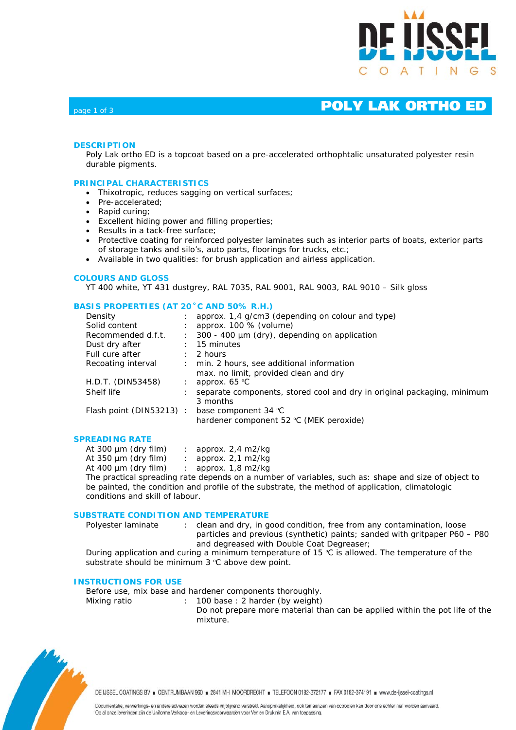

# page 1 of 3 **POLY LAK ORTHO ED**

## **DESCRIPTION**

Poly Lak ortho ED is a topcoat based on a pre-accelerated orthophtalic unsaturated polyester resin durable pigments.

### **PRINCIPAL CHARACTERISTICS**

- Thixotropic, reduces sagging on vertical surfaces;
- Pre-accelerated:
- Rapid curing;
- Excellent hiding power and filling properties;
- Results in a tack-free surface;
- Protective coating for reinforced polyester laminates such as interior parts of boats, exterior parts of storage tanks and silo's, auto parts, floorings for trucks, etc.;
- Available in two qualities: for brush application and airless application.

### **COLOURS AND GLOSS**

YT 400 white, YT 431 dustgrey, RAL 7035, RAL 9001, RAL 9003, RAL 9010 – Silk gloss

### **BASIS PROPERTIES (AT 20˚C AND 50% R.H.)**

| Density                 |                      | approx. 1,4 g/cm3 (depending on colour and type)                        |
|-------------------------|----------------------|-------------------------------------------------------------------------|
| Solid content           |                      | approx. $100\%$ (volume)                                                |
| Recommended d.f.t.      | $\ddot{\phantom{0}}$ | 300 - 400 μm (dry), depending on application                            |
| Dust dry after          |                      | 15 minutes                                                              |
| Full cure after         |                      | 2 hours                                                                 |
| Recoating interval      |                      | min. 2 hours, see additional information                                |
|                         |                      | max. no limit, provided clean and dry                                   |
| H.D.T. (DIN53458)       |                      | approx. $65^{\circ}$ C                                                  |
| Shelf life              |                      | separate components, stored cool and dry in original packaging, minimum |
|                         |                      | 3 months                                                                |
| Flash point (DIN53213): |                      | base component 34 °C                                                    |
|                         |                      | hardener component 52 °C (MEK peroxide)                                 |
|                         |                      |                                                                         |

## **SPREADING RATE**

| At 300 $\mu$ m (dry film) | approx. 2,4 m2/kg |
|---------------------------|-------------------|
| At $350 \mu m$ (dry film) | approx. 2,1 m2/kg |
| At 400 $\mu$ m (dry film) | approx. 1,8 m2/kg |
|                           |                   |

The practical spreading rate depends on a number of variables, such as: shape and size of object to be painted, the condition and profile of the substrate, the method of application, climatologic conditions and skill of labour.

#### **SUBSTRATE CONDITION AND TEMPERATURE**

Polyester laminate : clean and dry, in good condition, free from any contamination, loose particles and previous (synthetic) paints; sanded with gritpaper P60 – P80 and degreased with Double Coat Degreaser;

During application and curing a minimum temperature of 15 ºC is allowed. The temperature of the substrate should be minimum 3 °C above dew point.

### **INSTRUCTIONS FOR USE**

Before use, mix base and hardener components thoroughly.

Mixing ratio : 100 base : 2 harder (by weight)

Do not prepare more material than can be applied within the pot life of the mixture.



DE IJSSEL COATINGS BV E CENTRUMBAAN 960 = 2841 MH MOORDRECHT = TELEFOON 0182-372177 = FAX 0182-374191 = www.de-ijssel-coatings.nl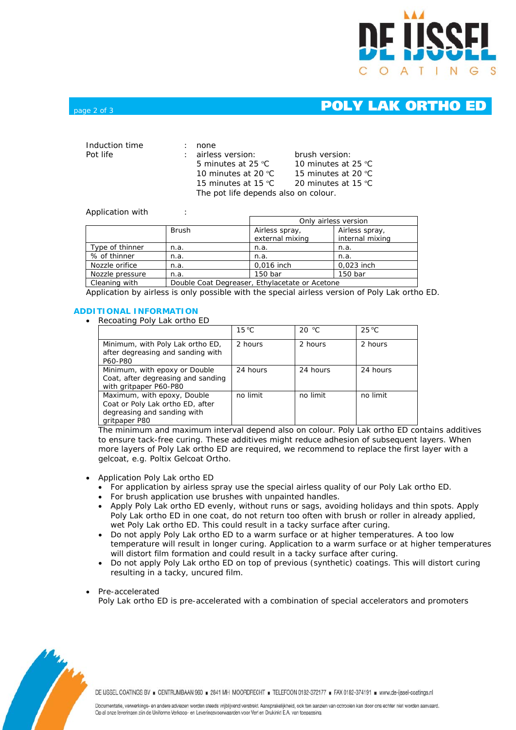

# page 2 of 3 **POLY LAK ORTHO ED**

| Induction time | none                                 |                     |
|----------------|--------------------------------------|---------------------|
| Pot life       | : airless version:                   | brush version:      |
|                | 5 minutes at 25 $^{\circ}$ C         | 10 minutes at 25 °C |
|                | 10 minutes at 20 $^{\circ}$ C        | 15 minutes at 20 °C |
|                | 15 minutes at 15 $°C$                | 20 minutes at 15 °C |
|                | The pot life depends also on colour. |                     |

### Application with :

|                 |              | Only airless version                           |                                   |  |
|-----------------|--------------|------------------------------------------------|-----------------------------------|--|
|                 | <b>Brush</b> | Airless spray,<br>external mixing              | Airless spray,<br>internal mixing |  |
| Type of thinner | n.a.         | n.a.                                           | n.a.                              |  |
| % of thinner    | n.a.         | n.a.                                           | n.a.                              |  |
| Nozzle orifice  | n.a.         | 0,016 inch                                     | 0,023 inch                        |  |
| Nozzle pressure | n.a.         | 150 bar                                        | 150 bar                           |  |
| Cleaning with   |              | Double Coat Degreaser, Ethylacetate or Acetone |                                   |  |

Application by airless is only possible with the special airless version of Poly Lak ortho ED.

# **ADDITIONAL INFORMATION**

• Recoating Poly Lak ortho ED

|                                                                                                                 | $15^{\circ}$ C | 20 °C    | $25^{\circ}$ C |
|-----------------------------------------------------------------------------------------------------------------|----------------|----------|----------------|
| Minimum, with Poly Lak ortho ED,<br>after degreasing and sanding with<br>P60-P80                                | 2 hours        | 2 hours  | 2 hours        |
| Minimum, with epoxy or Double<br>Coat, after degreasing and sanding<br>with gritpaper P60-P80                   | 24 hours       | 24 hours | 24 hours       |
| Maximum, with epoxy, Double<br>Coat or Poly Lak ortho ED, after<br>degreasing and sanding with<br>gritpaper P80 | no limit       | no limit | no limit       |

The minimum and maximum interval depend also on colour. Poly Lak ortho ED contains additives to ensure tack-free curing. These additives might reduce adhesion of subsequent layers. When more layers of Poly Lak ortho ED are required, we recommend to replace the first layer with a gelcoat, e.g. Poltix Gelcoat Ortho.

- Application Poly Lak ortho ED
	- For application by airless spray use the special airless quality of our Poly Lak ortho ED.
	- For brush application use brushes with unpainted handles.
	- Apply Poly Lak ortho ED evenly, without runs or sags, avoiding holidays and thin spots. Apply Poly Lak ortho ED in one coat, do not return too often with brush or roller in already applied, wet Poly Lak ortho ED. This could result in a tacky surface after curing.
	- Do not apply Poly Lak ortho ED to a warm surface or at higher temperatures. A too low temperature will result in longer curing. Application to a warm surface or at higher temperatures will distort film formation and could result in a tacky surface after curing.
	- Do not apply Poly Lak ortho ED on top of previous (synthetic) coatings. This will distort curing resulting in a tacky, uncured film.

• Pre-accelerated

Poly Lak ortho ED is pre-accelerated with a combination of special accelerators and promoters



DE IJSSEL COATINGS BV B CENTRUMBAAN 960 B 2841 MH MOORDRECHT B TELEFOON 0182-372177 B FAX 0182-374191 B www.de-ijssel-coatings.nl